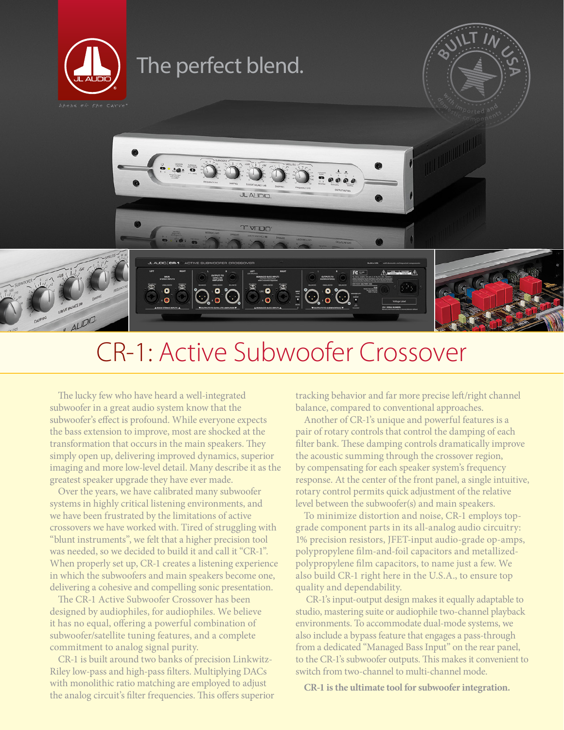

# CR-1: Active Subwoofer Crossover

 $\frac{1}{2}$ 

 $\odot$   $\odot$   $\odot$ 

 $\bullet$ 

The lucky few who have heard a well-integrated subwoofer in a great audio system know that the subwoofer's effect is profound. While everyone expects the bass extension to improve, most are shocked at the transformation that occurs in the main speakers. They simply open up, delivering improved dynamics, superior imaging and more low-level detail. Many describe it as the greatest speaker upgrade they have ever made.

 $AUDIO$ 

Over the years, we have calibrated many subwoofer systems in highly critical listening environments, and we have been frustrated by the limitations of active crossovers we have worked with. Tired of struggling with "blunt instruments", we felt that a higher precision tool was needed, so we decided to build it and call it "CR-1". When properly set up, CR-1 creates a listening experience in which the subwoofers and main speakers become one, delivering a cohesive and compelling sonic presentation.

The CR-1 Active Subwoofer Crossover has been designed by audiophiles, for audiophiles. We believe it has no equal, offering a powerful combination of subwoofer/satellite tuning features, and a complete commitment to analog signal purity.

CR-1 is built around two banks of precision Linkwitz-Riley low-pass and high-pass filters. Multiplying DACs with monolithic ratio matching are employed to adjust the analog circuit's filter frequencies. This offers superior

tracking behavior and far more precise left/right channel balance, compared to conventional approaches.

Another of CR-1's unique and powerful features is a pair of rotary controls that control the damping of each filter bank. These damping controls dramatically improve the acoustic summing through the crossover region, by compensating for each speaker system's frequency response. At the center of the front panel, a single intuitive, rotary control permits quick adjustment of the relative level between the subwoofer(s) and main speakers.

To minimize distortion and noise, CR-1 employs topgrade component parts in its all-analog audio circuitry: 1% precision resistors, JFET-input audio-grade op-amps, polypropylene film-and-foil capacitors and metallizedpolypropylene film capacitors, to name just a few. We also build CR-1 right here in the U.S.A., to ensure top quality and dependability.

 CR-1's input-output design makes it equally adaptable to studio, mastering suite or audiophile two-channel playback environments. To accommodate dual-mode systems, we also include a bypass feature that engages a pass-through from a dedicated "Managed Bass Input" on the rear panel, to the CR-1's subwoofer outputs. This makes it convenient to switch from two-channel to multi-channel mode.

**CR-1 is the ultimate tool for subwoofer integration.**